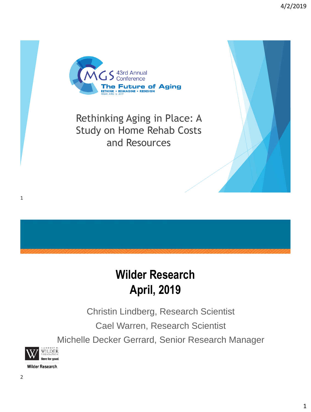

Rethinking Aging in Place: A Study on Home Rehab Costs and Resources

# **Wilder Research April, 2019**

Christin Lindberg, Research Scientist Cael Warren, Research Scientist Michelle Decker Gerrard, Senior Research Manager

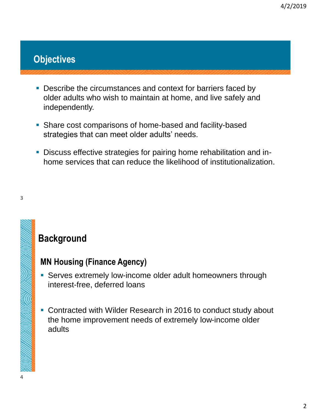## **Objectives**

- **Describe the circumstances and context for barriers faced by** older adults who wish to maintain at home, and live safely and independently.
- Share cost comparisons of home-based and facility-based strategies that can meet older adults' needs.
- **Discuss effective strategies for pairing home rehabilitation and in**home services that can reduce the likelihood of institutionalization.

3

<u>MESTERNIA</u>

## **Background**

### **MN Housing (Finance Agency)**

- **EXECT:** Serves extremely low-income older adult homeowners through interest-free, deferred loans
- **EX Contracted with Wilder Research in 2016 to conduct study about** the home improvement needs of extremely low-income older adults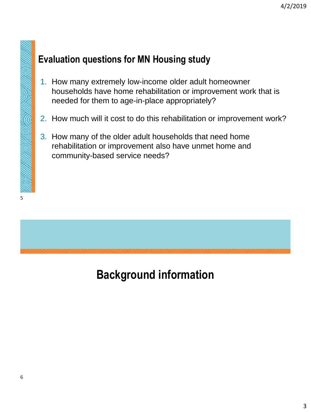## **Evaluation questions for MN Housing study**

- 1. How many extremely low-income older adult homeowner households have home rehabilitation or improvement work that is needed for them to age-in-place appropriately?
- 2. How much will it cost to do this rehabilitation or improvement work?
- 3. How many of the older adult households that need home rehabilitation or improvement also have unmet home and community-based service needs?

# **Background information**

5

a kalendari komunikasi da kalendari komunikasi da kalendari komunikasi da kalendari komunikasi da kalendari ko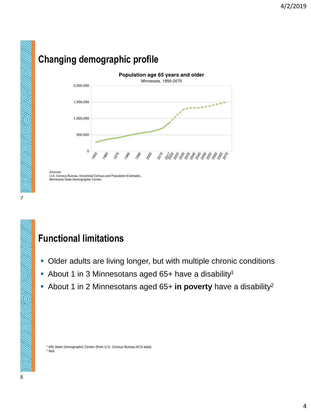# **Changing demographic profile**



Sources: U.S. Census Bureau, Decennial Census and Population Estimates. Minnesota State Demographic Center.

## **Functional limitations**

- **Older adults are living longer, but with multiple chronic conditions**
- **About 1 in 3 Minnesotans aged 65+ have a disability<sup>1</sup>**
- About 1 in 2 Minnesotans aged 65+ **in poverty** have a disability<sup>2</sup>

<sup>1</sup> MN State Demographic Center (from U.S. Census Bureau ACS data) 2 Ibid.

7

**CONTROLLER**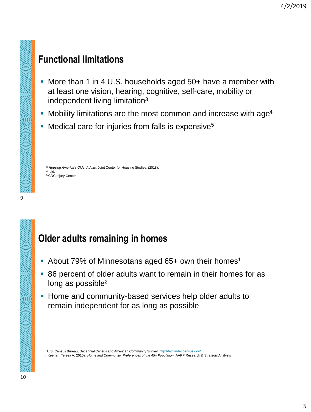## **Functional limitations**

- More than 1 in 4 U.S. households aged 50+ have a member with at least one vision, hearing, cognitive, self-care, mobility or independent living limitation<sup>3</sup>
- **Mobility limitations are the most common and increase with age<sup>4</sup>**
- Medical care for injuries from falls is expensive<sup>5</sup>

<sup>3</sup> *Housing America's Older Adults*, Joint Center for Housing Studies, (2018). 4 Ibid. <sup>5</sup>CDC Injury Center

## **Older adults remaining in homes**

- About 79% of Minnesotans aged 65+ own their homes<sup>1</sup>
- 86 percent of older adults want to remain in their homes for as long as possible<sup>2</sup>
- **.** Home and community-based services help older adults to remain independent for as long as possible

<sup>1</sup> U.S. Census Bureau, Decennial Census and American Community Survey.<http://factfinder.census.gov/>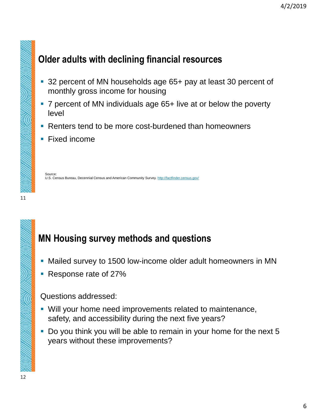## **Older adults with declining financial resources**

- 32 percent of MN households age 65+ pay at least 30 percent of monthly gross income for housing
- 7 percent of MN individuals age 65+ live at or below the poverty level
- Renters tend to be more cost-burdened than homeowners
- **Fixed income**

Source: U.S. Census Bureau, Decennial Census and American Community Survey. <http://factfinder.census.gov/>

## **MN Housing survey methods and questions**

- **EXECT** Mailed survey to 1500 low-income older adult homeowners in MN
- Response rate of 27%

#### Questions addressed:

- Will your home need improvements related to maintenance, safety, and accessibility during the next five years?
- Do you think you will be able to remain in your home for the next 5 years without these improvements?

11

<u>MRATIN S</u>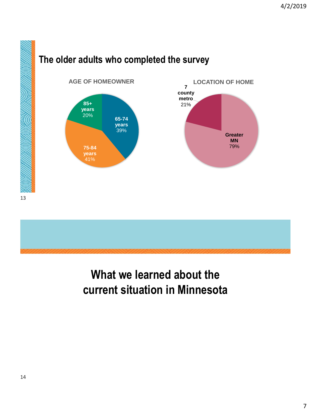



# **What we learned about the current situation in Minnesota**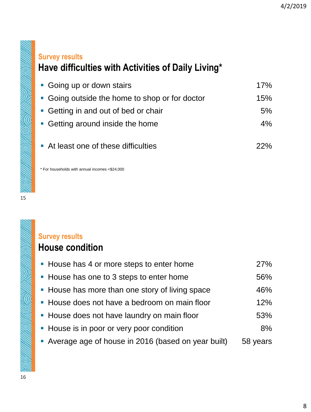## **Survey results Have difficulties with Activities of Daily Living\***

| • Going up or down stairs                      | 17% |
|------------------------------------------------|-----|
| • Going outside the home to shop or for doctor | 15% |
| • Getting in and out of bed or chair           | 5%  |
| • Getting around inside the home               | 4%  |
|                                                |     |
| At least one of these difficulties             | 22% |

\* For households with annual incomes <\$24,000

15

**MARTINE HALL BUTTER DESCRIPTION** 

**SILIS DINSIN** 

### **Survey results House condition**

| • House has 4 or more steps to enter home            | <b>27%</b> |
|------------------------------------------------------|------------|
| • House has one to 3 steps to enter home             | 56%        |
| • House has more than one story of living space      | 46%        |
| • House does not have a bedroom on main floor        | 12%        |
| • House does not have laundry on main floor          | 53%        |
| • House is in poor or very poor condition            | 8%         |
| • Average age of house in 2016 (based on year built) | 58 years   |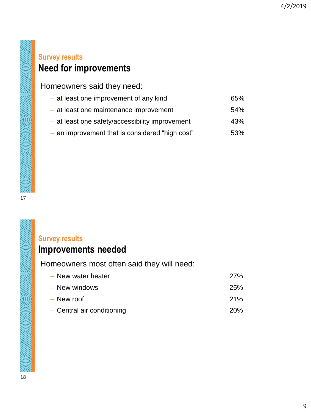### **Survey results Need for improvements**

Homeowners said they need:

- at least one improvement of any kind 65%
- at least one maintenance improvement 54%
- at least one safety/accessibility improvement 43%
- an improvement that is considered "high cost" 53%

<u>MARTINIA (1890) WIL</u>

#### **Survey results**

### **Improvements needed**

Homeowners most often said they will need:

| - New water heater         | 27%        |
|----------------------------|------------|
| - New windows              | <b>25%</b> |
| $-$ New roof               | <b>21%</b> |
| - Central air conditioning | <b>20%</b> |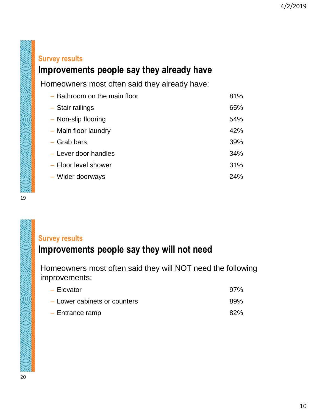#### **Survey results**

## **Improvements people say they already have**

Homeowners most often said they already have:

| - Bathroom on the main floor | 81%        |
|------------------------------|------------|
| $-$ Stair railings           | 65%        |
| - Non-slip flooring          | 54%        |
| - Main floor laundry         | 42%        |
| - Grab bars                  | 39%        |
| - Lever door handles         | 34%        |
| - Floor level shower         | 31%        |
| - Wider doorways             | <b>24%</b> |

19

**RETURNING THE STATES** 

<u>NESTRA NEW NEW WINDOW</u>

#### **Survey results**

## **Improvements people say they will not need**

Homeowners most often said they will NOT need the following improvements:

| $-$ Elevator                 | 97% |
|------------------------------|-----|
| - Lower cabinets or counters | 89% |
| $-$ Entrance ramp            | 82% |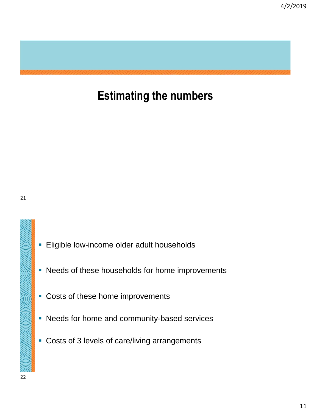## **Estimating the numbers**

San Kerajahan Kalèndher Kalèndher Kalèndher Kalèndher Kalèndher Kalèndher Kalèndher Kalèndher Kalèndher Kalènd

- **Eligible low-income older adult households**
- **.** Needs of these households for home improvements
- Costs of these home improvements
- **EXEC** Needs for home and community-based services
- **Costs of 3 levels of care/living arrangements**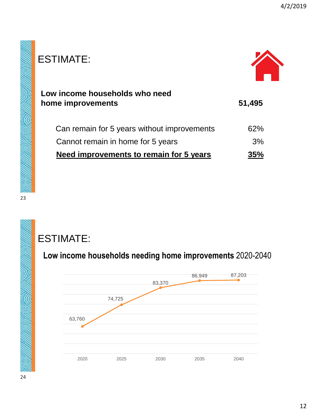| ESTIMATE:                                           |        |
|-----------------------------------------------------|--------|
| Low income households who need<br>home improvements | 51,495 |
| Can remain for 5 years without improvements         | 62%    |
| Cannot remain in home for 5 years                   | 3%     |
| Need improvements to remain for 5 years             | 35%    |

ESTIMATE:

**Low income households needing home improvements** 2020-2040

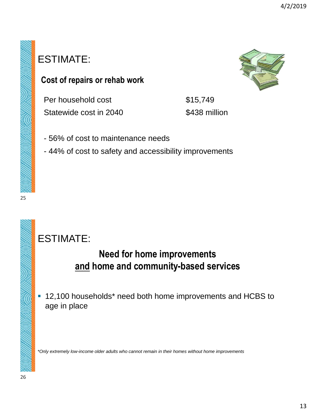## ESTIMATE:

### **Cost of repairs or rehab work**

Per household cost \$15,749 Statewide cost in 2040 \$438 million

- 56% of cost to maintenance needs
- 44% of cost to safety and accessibility improvements

## ESTIMATE:

## **Need for home improvements and home and community-based services**

■ 12,100 households<sup>\*</sup> need both home improvements and HCBS to age in place

*\*Only extremely low-income older adults who cannot remain in their homes without home improvements* 

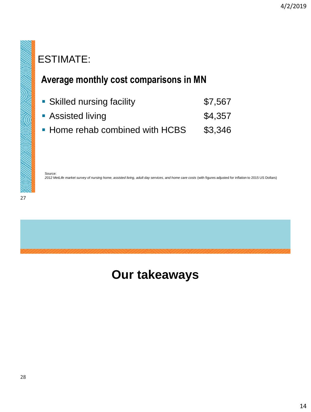## ESTIMATE:

### **Average monthly cost comparisons in MN**

- **Bridge 12 Skilled nursing facility 12 ST, 567 SKILLER**
- Assisted living \$4,357
- **Home rehab combined with HCBS** \$3,346

Source:

2012 MetLife market survey of nursing home, assisted living, adult day services, and home care costs (with figures adjusted for inflation to 2015 US Dollars)

STANDARD WAS THE STANDARD WITH THE

**ARDINISALIS** 



## **Our takeaways**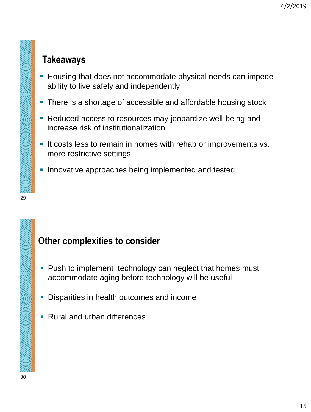## **Takeaways**

- **EXECT** Housing that does not accommodate physical needs can impede ability to live safely and independently
- There is a shortage of accessible and affordable housing stock
- Reduced access to resources may jeopardize well-being and increase risk of institutionalization
- **.** It costs less to remain in homes with rehab or improvements vs. more restrictive settings
- **.** Innovative approaches being implemented and tested

## **Other complexities to consider**

- Push to implement technology can neglect that homes must accommodate aging before technology will be useful
- Disparities in health outcomes and income
- Rural and urban differences

29

**STATES AND STRUCTURES**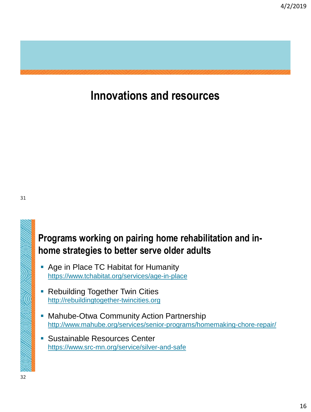

## **Innovations and resources**

**SULLER STATES LABOURS** 

## **Programs working on pairing home rehabilitation and inhome strategies to better serve older adults**

- Age in Place TC Habitat for Humanity https://www.tchabitat.org/services/age-in-place
- **Rebuilding Together Twin Cities** [http://rebuildingtogether-twincities.org](http://rebuildingtogether-twincities.org/)
- **Mahube-Otwa Community Action Partnership** <http://www.mahube.org/services/senior-programs/homemaking-chore-repair/>
- Sustainable Resources Center <https://www.src-mn.org/service/silver-and-safe>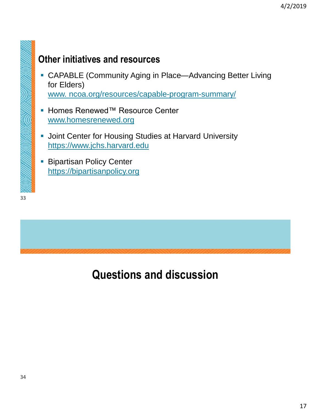## **Other initiatives and resources**

**• CAPABLE (Community Aging in Place—Advancing Better Living** for Elders)

www. ncoa.org/resources/capable-program-summary/

- Homes Renewed™ Resource Center [www.homesrenewed.org](http://www.homesrenewed.org/)
- **.** Joint Center for Housing Studies at Harvard University [https://www.jchs.harvard.edu](https://www.jchs.harvard.edu/)
- **Bipartisan Policy Center** [https://bipartisanpolicy.org](https://bipartisanpolicy.org/)

33

Salakaran (1890) || Sala

**ANTARA DE LA PERSONA DE LA PERSONA DE LA PERSONA DE LA PERSONA DE LA PERSONA DE LA PERSONA DE LA PERSONA DE LA**